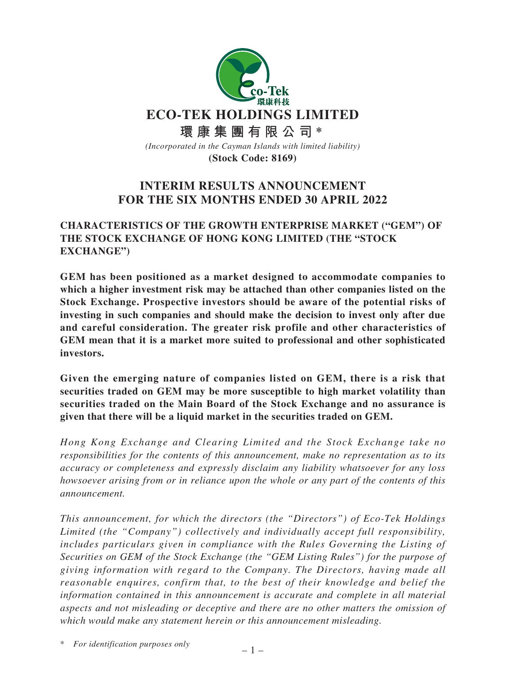

# **INTERIM RESULTS ANNOUNCEMENT FOR THE SIX MONTHS ENDED 30 APRIL 2022**

# **CHARACTERISTICS OF THE GROWTH ENTERPRISE MARKET ("GEM") OF THE STOCK EXCHANGE OF HONG KONG LIMITED (THE "STOCK EXCHANGE")**

**GEM has been positioned as a market designed to accommodate companies to which a higher investment risk may be attached than other companies listed on the Stock Exchange. Prospective investors should be aware of the potential risks of investing in such companies and should make the decision to invest only after due and careful consideration. The greater risk profile and other characteristics of GEM mean that it is a market more suited to professional and other sophisticated investors.**

**Given the emerging nature of companies listed on GEM, there is a risk that securities traded on GEM may be more susceptible to high market volatility than securities traded on the Main Board of the Stock Exchange and no assurance is given that there will be a liquid market in the securities traded on GEM.**

*Hong Kong Exchange and Clearing Limited and the Stock Exchange take no responsibilities for the contents of this announcement, make no representation as to its accuracy or completeness and expressly disclaim any liability whatsoever for any loss howsoever arising from or in reliance upon the whole or any part of the contents of this announcement.*

*This announcement, for which the directors (the "Directors") of Eco-Tek Holdings Limited (the "Company") collectively and individually accept full responsibility, includes particulars given in compliance with the Rules Governing the Listing of Securities on GEM of the Stock Exchange (the "GEM Listing Rules") for the purpose of giving information with regard to the Company. The Directors, having made all reasonable enquires, confirm that, to the best of their knowledge and belief the information contained in this announcement is accurate and complete in all material aspects and not misleading or deceptive and there are no other matters the omission of which would make any statement herein or this announcement misleading.*

\* *For identification purposes only*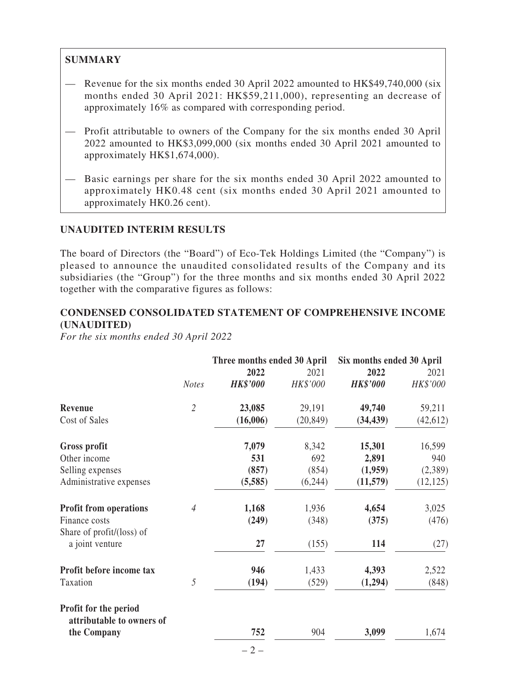# **SUMMARY**

- Revenue for the six months ended 30 April 2022 amounted to HK\$49,740,000 (six months ended 30 April 2021: HK\$59,211,000), representing an decrease of approximately 16% as compared with corresponding period.
- Profit attributable to owners of the Company for the six months ended 30 April 2022 amounted to HK\$3,099,000 (six months ended 30 April 2021 amounted to approximately HK\$1,674,000).
- Basic earnings per share for the six months ended 30 April 2022 amounted to approximately HK0.48 cent (six months ended 30 April 2021 amounted to approximately HK0.26 cent).

# **UNAUDITED INTERIM RESULTS**

The board of Directors (the "Board") of Eco-Tek Holdings Limited (the "Company") is pleased to announce the unaudited consolidated results of the Company and its subsidiaries (the "Group") for the three months and six months ended 30 April 2022 together with the comparative figures as follows:

# **CONDENSED CONSOLIDATED STATEMENT OF COMPREHENSIVE INCOME (UNAUDITED)**

*For the six months ended 30 April 2022*

|                                                    |                | Three months ended 30 April |           | Six months ended 30 April |           |  |
|----------------------------------------------------|----------------|-----------------------------|-----------|---------------------------|-----------|--|
|                                                    |                | 2022                        | 2021      | 2022                      | 2021      |  |
|                                                    | <b>Notes</b>   | <b>HK\$'000</b>             | HK\$'000  | <b>HK\$'000</b>           | HK\$'000  |  |
| Revenue                                            | $\overline{2}$ | 23,085                      | 29,191    | 49,740                    | 59,211    |  |
| Cost of Sales                                      |                | (16,006)                    | (20, 849) | (34, 439)                 | (42, 612) |  |
| <b>Gross profit</b>                                |                | 7,079                       | 8,342     | 15,301                    | 16,599    |  |
| Other income                                       |                | 531                         | 692       | 2,891                     | 940       |  |
| Selling expenses                                   |                | (857)                       | (854)     | (1,959)                   | (2,389)   |  |
| Administrative expenses                            |                | (5,585)                     | (6,244)   | (11,579)                  | (12, 125) |  |
| <b>Profit from operations</b>                      | 4              | 1,168                       | 1,936     | 4,654                     | 3,025     |  |
| Finance costs                                      |                | (249)                       | (348)     | (375)                     | (476)     |  |
| Share of $profit/(loss)$ of                        |                |                             |           |                           |           |  |
| a joint venture                                    |                | 27                          | (155)     | 114                       | (27)      |  |
| Profit before income tax                           |                | 946                         | 1,433     | 4,393                     | 2,522     |  |
| Taxation                                           | 5              | (194)                       | (529)     | (1,294)                   | (848)     |  |
| Profit for the period<br>attributable to owners of |                |                             |           |                           |           |  |
| the Company                                        |                | 752                         | 904       | 3,099                     | 1,674     |  |
|                                                    |                | $-2-$                       |           |                           |           |  |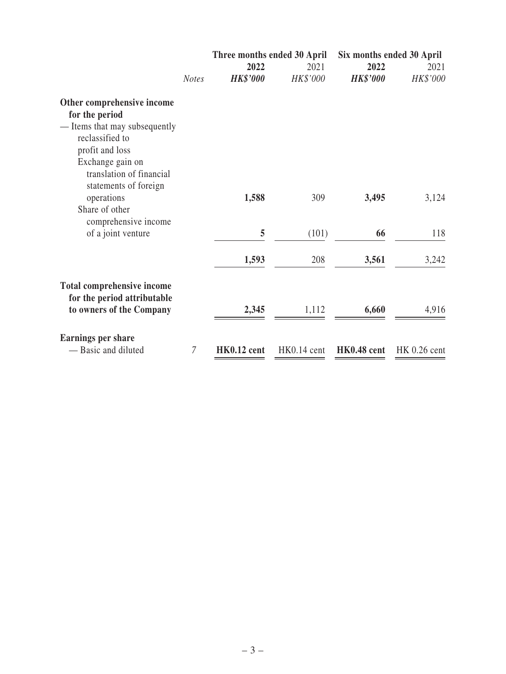|                                   |                | Three months ended 30 April | Six months ended 30 April |                 |              |
|-----------------------------------|----------------|-----------------------------|---------------------------|-----------------|--------------|
|                                   |                | 2022                        | 2021                      | 2022            | 2021         |
|                                   | <b>Notes</b>   | <b>HK\$'000</b>             | HK\$'000                  | <b>HK\$'000</b> | HK\$'000     |
| Other comprehensive income        |                |                             |                           |                 |              |
| for the period                    |                |                             |                           |                 |              |
| - Items that may subsequently     |                |                             |                           |                 |              |
| reclassified to                   |                |                             |                           |                 |              |
| profit and loss                   |                |                             |                           |                 |              |
| Exchange gain on                  |                |                             |                           |                 |              |
| translation of financial          |                |                             |                           |                 |              |
| statements of foreign             |                |                             |                           |                 |              |
| operations                        |                | 1,588                       | 309                       | 3,495           | 3,124        |
| Share of other                    |                |                             |                           |                 |              |
| comprehensive income              |                |                             |                           |                 |              |
| of a joint venture                |                | 5                           | (101)                     | 66              | 118          |
|                                   |                | 1,593                       | 208                       | 3,561           | 3,242        |
|                                   |                |                             |                           |                 |              |
| <b>Total comprehensive income</b> |                |                             |                           |                 |              |
| for the period attributable       |                |                             |                           |                 |              |
| to owners of the Company          |                | 2,345                       | 1,112                     | 6,660           | 4,916        |
|                                   |                |                             |                           |                 |              |
| <b>Earnings per share</b>         |                |                             |                           |                 |              |
| — Basic and diluted               | $\overline{7}$ | HK0.12 cent                 | HK0.14 cent               | HK0.48 cent     | HK 0.26 cent |
|                                   |                |                             |                           |                 |              |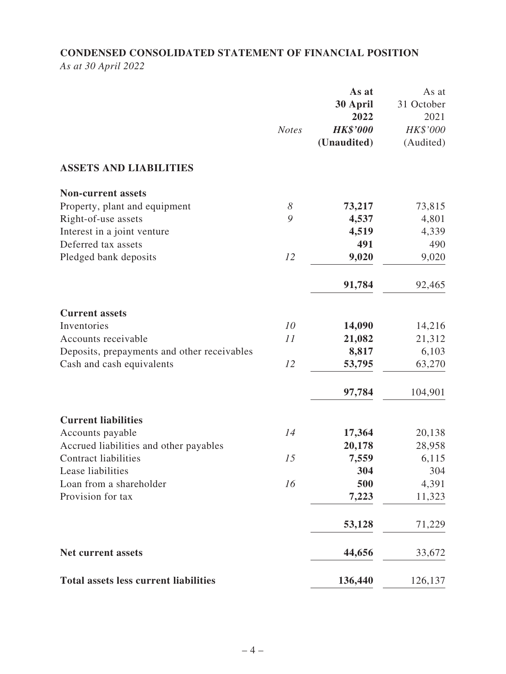# **CONDENSED CONSOLIDATED STATEMENT OF FINANCIAL POSITION** *As at 30 April 2022*

|                                              | <b>Notes</b> | As at<br>30 April<br>2022<br><b>HK\$'000</b><br>(Unaudited) | As at<br>31 October<br>2021<br>HK\$'000<br>(Audited) |
|----------------------------------------------|--------------|-------------------------------------------------------------|------------------------------------------------------|
| <b>ASSETS AND LIABILITIES</b>                |              |                                                             |                                                      |
| <b>Non-current assets</b>                    |              |                                                             |                                                      |
| Property, plant and equipment                | 8            | 73,217                                                      | 73,815                                               |
| Right-of-use assets                          | 9            | 4,537                                                       | 4,801                                                |
| Interest in a joint venture                  |              | 4,519                                                       | 4,339                                                |
| Deferred tax assets                          |              | 491                                                         | 490                                                  |
| Pledged bank deposits                        | 12           | 9,020                                                       | 9,020                                                |
|                                              |              | 91,784                                                      | 92,465                                               |
| <b>Current assets</b>                        |              |                                                             |                                                      |
| Inventories                                  | 10           | 14,090                                                      | 14,216                                               |
| Accounts receivable                          | 11           | 21,082                                                      | 21,312                                               |
| Deposits, prepayments and other receivables  |              | 8,817                                                       | 6,103                                                |
| Cash and cash equivalents                    | 12           | 53,795                                                      | 63,270                                               |
|                                              |              | 97,784                                                      | 104,901                                              |
| <b>Current liabilities</b>                   |              |                                                             |                                                      |
| Accounts payable                             | 14           | 17,364                                                      | 20,138                                               |
| Accrued liabilities and other payables       |              | 20,178                                                      | 28,958                                               |
| <b>Contract liabilities</b>                  | 15           | 7,559                                                       | 6,115                                                |
| Lease liabilities                            |              | 304                                                         | 304                                                  |
| Loan from a shareholder                      | 16           | 500                                                         | 4,391                                                |
| Provision for tax                            |              | 7,223                                                       | 11,323                                               |
|                                              |              | 53,128                                                      | 71,229                                               |
| <b>Net current assets</b>                    |              | 44,656                                                      | 33,672                                               |
| <b>Total assets less current liabilities</b> |              | 136,440                                                     | 126,137                                              |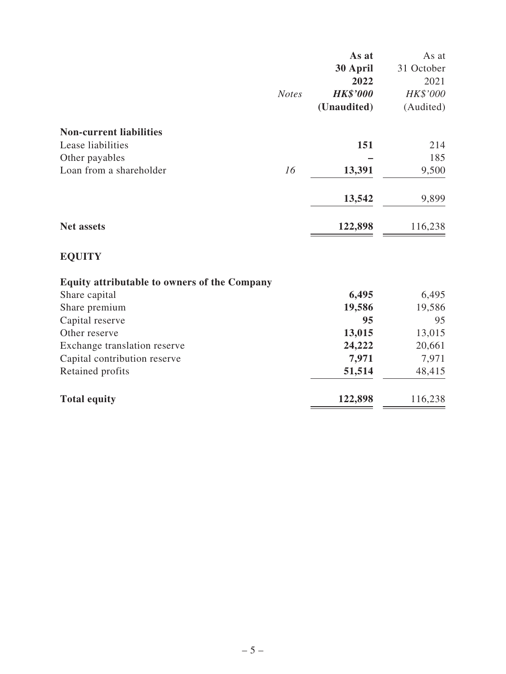|                                                     |              | As at           | As at      |
|-----------------------------------------------------|--------------|-----------------|------------|
|                                                     |              | 30 April        | 31 October |
|                                                     |              | 2022            | 2021       |
|                                                     | <b>Notes</b> | <b>HK\$'000</b> | HK\$'000   |
|                                                     |              | (Unaudited)     | (Audited)  |
| <b>Non-current liabilities</b>                      |              |                 |            |
| Lease liabilities                                   |              | 151             | 214        |
| Other payables                                      |              |                 | 185        |
| Loan from a shareholder                             | 16           | 13,391          | 9,500      |
|                                                     |              | 13,542          | 9,899      |
| <b>Net assets</b>                                   |              | 122,898         | 116,238    |
| <b>EQUITY</b>                                       |              |                 |            |
| <b>Equity attributable to owners of the Company</b> |              |                 |            |
| Share capital                                       |              | 6,495           | 6,495      |
| Share premium                                       |              | 19,586          | 19,586     |
| Capital reserve                                     |              | 95              | 95         |
| Other reserve                                       |              | 13,015          | 13,015     |
| Exchange translation reserve                        |              | 24,222          | 20,661     |
| Capital contribution reserve                        |              | 7,971           | 7,971      |
| Retained profits                                    |              | 51,514          | 48,415     |
| <b>Total equity</b>                                 |              | 122,898         | 116,238    |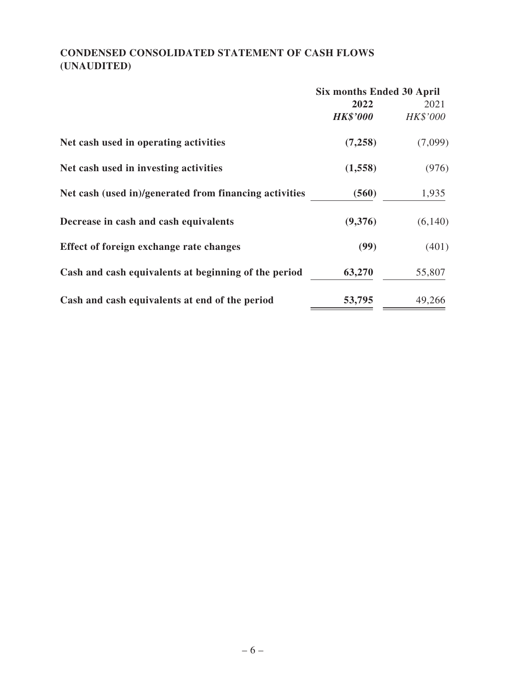# **CONDENSED CONSOLIDATED STATEMENT OF CASH FLOWS (UNAUDITED)**

|                                                        | <b>Six months Ended 30 April</b> |          |  |
|--------------------------------------------------------|----------------------------------|----------|--|
|                                                        | 2022                             | 2021     |  |
|                                                        | <b>HK\$'000</b>                  | HK\$'000 |  |
| Net cash used in operating activities                  | (7,258)                          | (7,099)  |  |
| Net cash used in investing activities                  | (1,558)                          | (976)    |  |
| Net cash (used in)/generated from financing activities | (560)                            | 1,935    |  |
| Decrease in cash and cash equivalents                  | (9,376)                          | (6,140)  |  |
| Effect of foreign exchange rate changes                | (99)                             | (401)    |  |
| Cash and cash equivalents at beginning of the period   | 63,270                           | 55,807   |  |
| Cash and cash equivalents at end of the period         | 53,795                           | 49,266   |  |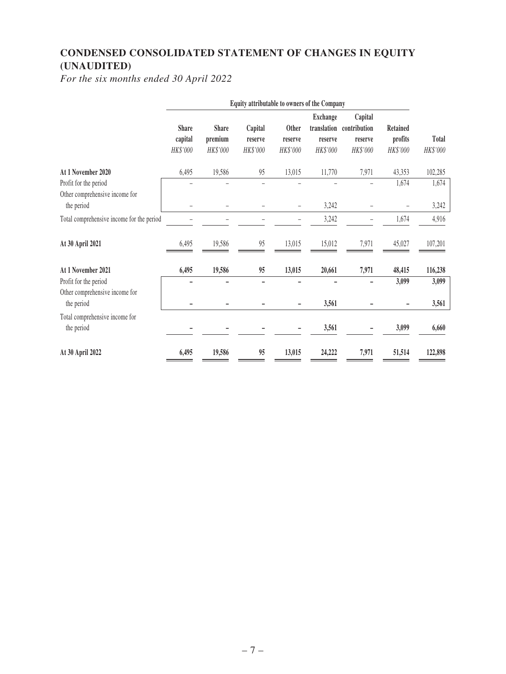# **CONDENSED CONSOLIDATED STATEMENT OF CHANGES IN EQUITY (UNAUDITED)**

*For the six months ended 30 April 2022*

|                                              |                                     |                                     | Equity attributable to owners of the Company |                              |                                                       |                                                |                                        |                          |
|----------------------------------------------|-------------------------------------|-------------------------------------|----------------------------------------------|------------------------------|-------------------------------------------------------|------------------------------------------------|----------------------------------------|--------------------------|
|                                              | <b>Share</b><br>capital<br>HK\$'000 | <b>Share</b><br>premium<br>HK\$'000 | Capital<br>reserve<br>HK\$'000               | Other<br>reserve<br>HK\$'000 | <b>Exchange</b><br>translation<br>reserve<br>HK\$'000 | Capital<br>contribution<br>reserve<br>HK\$'000 | <b>Retained</b><br>profits<br>HK\$'000 | <b>Total</b><br>HK\$'000 |
| At 1 November 2020                           | 6,495                               | 19,586                              | 95                                           | 13,015                       | 11,770                                                | 7,971                                          | 43,353                                 | 102,285                  |
| Profit for the period                        |                                     |                                     | ۳                                            |                              |                                                       |                                                | 1,674                                  | 1,674                    |
| Other comprehensive income for<br>the period |                                     |                                     |                                              |                              | 3,242                                                 |                                                |                                        | 3,242                    |
| Total comprehensive income for the period    |                                     |                                     |                                              |                              | 3,242                                                 |                                                | 1,674                                  | 4,916                    |
| At 30 April 2021                             | 6,495                               | 19,586                              | 95                                           | 13,015                       | 15,012                                                | 7,971                                          | 45,027                                 | 107,201                  |
| At 1 November 2021                           | 6,495                               | 19,586                              | 95                                           | 13,015                       | 20,661                                                | 7,971                                          | 48,415                                 | 116,238                  |
| Profit for the period                        |                                     |                                     | $\overline{\phantom{0}}$                     |                              |                                                       |                                                | 3,099                                  | 3,099                    |
| Other comprehensive income for<br>the period |                                     |                                     |                                              |                              | 3,561                                                 |                                                |                                        | 3,561                    |
| Total comprehensive income for<br>the period |                                     |                                     |                                              |                              | 3,561                                                 |                                                | 3,099                                  | 6,660                    |
| At 30 April 2022                             | 6,495                               | 19,586                              | 95                                           | 13,015                       | 24,222                                                | 7,971                                          | 51,514                                 | 122,898                  |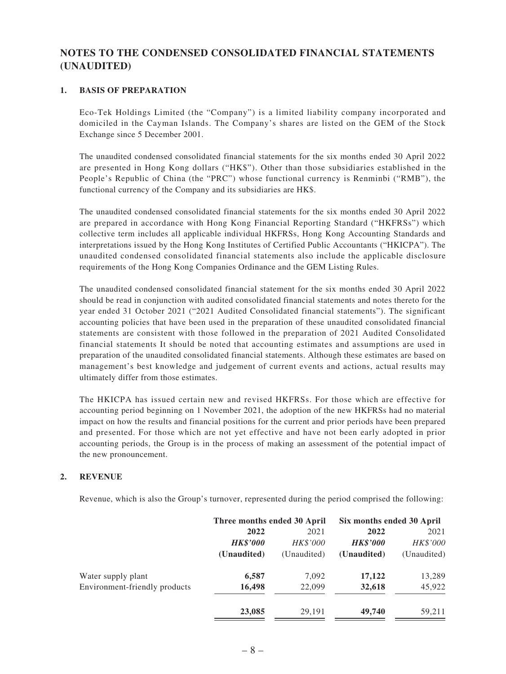## **NOTES TO THE CONDENSED CONSOLIDATED FINANCIAL STATEMENTS (UNAUDITED)**

### **1. BASIS OF PREPARATION**

Eco-Tek Holdings Limited (the "Company") is a limited liability company incorporated and domiciled in the Cayman Islands. The Company's shares are listed on the GEM of the Stock Exchange since 5 December 2001.

The unaudited condensed consolidated financial statements for the six months ended 30 April 2022 are presented in Hong Kong dollars ("HK\$"). Other than those subsidiaries established in the People's Republic of China (the "PRC") whose functional currency is Renminbi ("RMB"), the functional currency of the Company and its subsidiaries are HK\$.

The unaudited condensed consolidated financial statements for the six months ended 30 April 2022 are prepared in accordance with Hong Kong Financial Reporting Standard ("HKFRSs") which collective term includes all applicable individual HKFRSs, Hong Kong Accounting Standards and interpretations issued by the Hong Kong Institutes of Certified Public Accountants ("HKICPA"). The unaudited condensed consolidated financial statements also include the applicable disclosure requirements of the Hong Kong Companies Ordinance and the GEM Listing Rules.

The unaudited condensed consolidated financial statement for the six months ended 30 April 2022 should be read in conjunction with audited consolidated financial statements and notes thereto for the year ended 31 October 2021 ("2021 Audited Consolidated financial statements"). The significant accounting policies that have been used in the preparation of these unaudited consolidated financial statements are consistent with those followed in the preparation of 2021 Audited Consolidated financial statements It should be noted that accounting estimates and assumptions are used in preparation of the unaudited consolidated financial statements. Although these estimates are based on management's best knowledge and judgement of current events and actions, actual results may ultimately differ from those estimates.

The HKICPA has issued certain new and revised HKFRSs. For those which are effective for accounting period beginning on 1 November 2021, the adoption of the new HKFRSs had no material impact on how the results and financial positions for the current and prior periods have been prepared and presented. For those which are not yet effective and have not been early adopted in prior accounting periods, the Group is in the process of making an assessment of the potential impact of the new pronouncement.

#### **2. REVENUE**

Revenue, which is also the Group's turnover, represented during the period comprised the following:

|                               | Three months ended 30 April |             | Six months ended 30 April |             |
|-------------------------------|-----------------------------|-------------|---------------------------|-------------|
|                               | 2022                        | 2021        | 2022                      | 2021        |
|                               | <b>HK\$'000</b>             | HK\$'000    | <b>HK\$'000</b>           | HK\$'000    |
|                               | (Unaudited)                 | (Unaudited) | (Unaudited)               | (Unaudited) |
| Water supply plant            | 6,587                       | 7,092       | 17,122                    | 13,289      |
| Environment-friendly products | 16,498                      | 22,099      | 32,618                    | 45,922      |
|                               | 23,085                      | 29.191      | 49,740                    | 59,211      |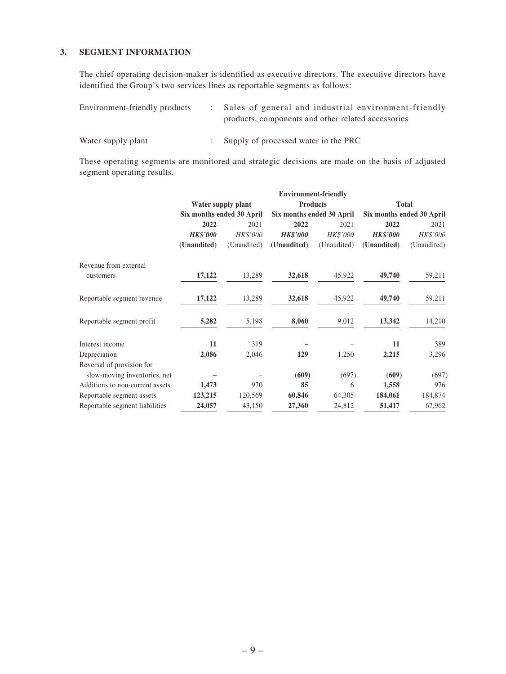### **3. SEGMENT INFORMATION**

The chief operating decision-maker is identified as executive directors. The executive directors have identified the Group's two services lines as reportable segments as follows:

| Environment-friendly products | : Sales of general and industrial environment-friendly |
|-------------------------------|--------------------------------------------------------|
|                               | products, components and other related accessories     |
|                               |                                                        |

Water supply plant : Supply of processed water in the PRC

These operating segments are monitored and strategic decisions are made on the basis of adjusted segment operating results.

|                                 |                 | <b>Environment-friendly</b> |                           |             |                           |             |  |  |
|---------------------------------|-----------------|-----------------------------|---------------------------|-------------|---------------------------|-------------|--|--|
|                                 |                 | Water supply plant          | <b>Total</b>              |             |                           |             |  |  |
|                                 |                 | Six months ended 30 April   | Six months ended 30 April |             | Six months ended 30 April |             |  |  |
|                                 | 2022            | 2021                        | 2022                      | 2021        | 2022                      | 2021        |  |  |
|                                 | <b>HK\$'000</b> | HK\$'000                    | <b>HK\$'000</b>           | HK\$'000    | <b>HK\$'000</b>           | HK\$'000    |  |  |
|                                 | (Unaudited)     | (Unaudited)                 | (Unaudited)               | (Unaudited) | (Unaudited)               | (Unaudited) |  |  |
| Revenue from external           |                 |                             |                           |             |                           |             |  |  |
| customers                       | 17,122          | 13,289                      | 32,618                    | 45,922      | 49,740                    | 59,211      |  |  |
| Reportable segment revenue      | 17,122          | 13,289                      | 32,618                    | 45,922      | 49,740                    | 59,211      |  |  |
| Reportable segment profit       | 5,282           | 5,198                       | 8,060                     | 9,012       | 13,342                    | 14,210      |  |  |
| Interest income                 | 11              | 319                         |                           |             | 11                        | 389         |  |  |
| Depreciation                    | 2,086           | 2,046                       | 129                       | 1,250       | 2,215                     | 3,296       |  |  |
| Reversal of provision for       |                 |                             |                           |             |                           |             |  |  |
| slow-moving inventories, net    |                 |                             | (609)                     | (697)       | (609)                     | (697)       |  |  |
| Additions to non-current assets | 1,473           | 970                         | 85                        | 6           | 1,558                     | 976         |  |  |
| Reportable segment assets       | 123,215         | 120,569                     | 60,846                    | 64,305      | 184,061                   | 184,874     |  |  |
| Reportable segment liabilities  | 24,057          | 43,150                      | 27,360                    | 24,812      | 51,417                    | 67,962      |  |  |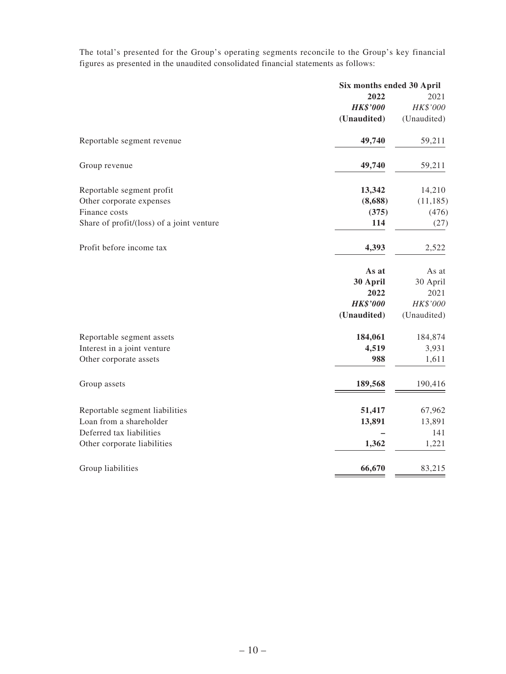The total's presented for the Group's operating segments reconcile to the Group's key financial figures as presented in the unaudited consolidated financial statements as follows:

|                                           | Six months ended 30 April |             |
|-------------------------------------------|---------------------------|-------------|
|                                           | 2022                      | 2021        |
|                                           | <b>HK\$'000</b>           | HK\$'000    |
|                                           | (Unaudited)               | (Unaudited) |
| Reportable segment revenue                | 49,740                    | 59,211      |
| Group revenue                             | 49,740                    | 59,211      |
| Reportable segment profit                 | 13,342                    | 14,210      |
| Other corporate expenses                  | (8,688)                   | (11, 185)   |
| Finance costs                             | (375)                     | (476)       |
| Share of profit/(loss) of a joint venture | 114                       | (27)        |
| Profit before income tax                  | 4,393                     | 2,522       |
|                                           | As at                     | As at       |
|                                           | 30 April                  | 30 April    |
|                                           | 2022                      | 2021        |
|                                           | <b>HK\$'000</b>           | HK\$'000    |
|                                           | (Unaudited)               | (Unaudited) |
| Reportable segment assets                 | 184,061                   | 184,874     |
| Interest in a joint venture               | 4,519                     | 3,931       |
| Other corporate assets                    | 988                       | 1,611       |
| Group assets                              | 189,568                   | 190,416     |
| Reportable segment liabilities            | 51,417                    | 67,962      |
| Loan from a shareholder                   | 13,891                    | 13,891      |
| Deferred tax liabilities                  |                           | 141         |
| Other corporate liabilities               | 1,362                     | 1,221       |
| Group liabilities                         | 66,670                    | 83,215      |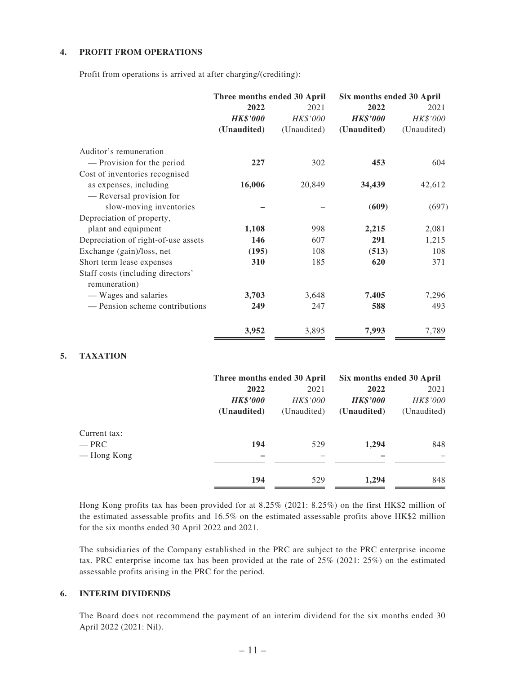#### **4. PROFIT FROM OPERATIONS**

Profit from operations is arrived at after charging/(crediting):

|                                     | Three months ended 30 April |             | Six months ended 30 April |             |  |
|-------------------------------------|-----------------------------|-------------|---------------------------|-------------|--|
|                                     | 2022                        | 2021        | 2022                      | 2021        |  |
|                                     | <b>HK\$'000</b>             | HK\$'000    | <b>HK\$'000</b>           | HK\$'000    |  |
|                                     | (Unaudited)                 | (Unaudited) | (Unaudited)               | (Unaudited) |  |
| Auditor's remuneration              |                             |             |                           |             |  |
| - Provision for the period          | 227                         | 302         | 453                       | 604         |  |
| Cost of inventories recognised      |                             |             |                           |             |  |
| as expenses, including              | 16,006                      | 20,849      | 34,439                    | 42,612      |  |
| — Reversal provision for            |                             |             |                           |             |  |
| slow-moving inventories             |                             |             | (609)                     | (697)       |  |
| Depreciation of property,           |                             |             |                           |             |  |
| plant and equipment                 | 1,108                       | 998         | 2,215                     | 2,081       |  |
| Depreciation of right-of-use assets | 146                         | 607         | 291                       | 1,215       |  |
| Exchange (gain)/loss, net           | (195)                       | 108         | (513)                     | 108         |  |
| Short term lease expenses           | 310                         | 185         | 620                       | 371         |  |
| Staff costs (including directors'   |                             |             |                           |             |  |
| remuneration)                       |                             |             |                           |             |  |
| - Wages and salaries                | 3,703                       | 3,648       | 7,405                     | 7,296       |  |
| - Pension scheme contributions      | 249                         | 247         | 588                       | 493         |  |
|                                     | 3,952                       | 3,895       | 7,993                     | 7,789       |  |

#### **5. TAXATION**

|              | Three months ended 30 April |             | Six months ended 30 April |             |  |
|--------------|-----------------------------|-------------|---------------------------|-------------|--|
|              | 2022                        | 2021        | 2022                      | 2021        |  |
|              | <b>HK\$'000</b>             | HK\$'000    | <b>HK\$'000</b>           | HK\$'000    |  |
|              | (Unaudited)                 | (Unaudited) | (Unaudited)               | (Unaudited) |  |
| Current tax: |                             |             |                           |             |  |
| — PRC        | 194                         | 529         | 1,294                     | 848         |  |
| — Hong Kong  |                             |             |                           |             |  |
|              | 194                         | 529         | 1,294                     | 848         |  |

Hong Kong profits tax has been provided for at 8.25% (2021: 8.25%) on the first HK\$2 million of the estimated assessable profits and 16.5% on the estimated assessable profits above HK\$2 million for the six months ended 30 April 2022 and 2021.

The subsidiaries of the Company established in the PRC are subject to the PRC enterprise income tax. PRC enterprise income tax has been provided at the rate of 25% (2021: 25%) on the estimated assessable profits arising in the PRC for the period.

### **6. INTERIM DIVIDENDS**

The Board does not recommend the payment of an interim dividend for the six months ended 30 April 2022 (2021: Nil).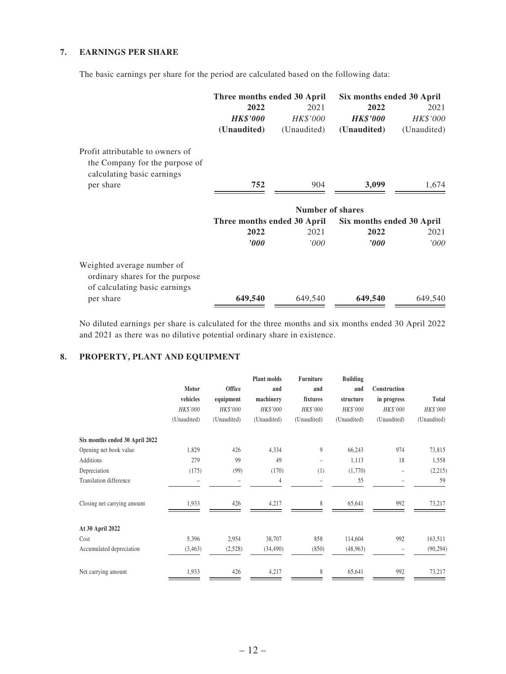### **7. EARNINGS PER SHARE**

The basic earnings per share for the period are calculated based on the following data:

|                                                                                                  | Three months ended 30 April |                  | Six months ended 30 April |             |
|--------------------------------------------------------------------------------------------------|-----------------------------|------------------|---------------------------|-------------|
|                                                                                                  | 2022                        | 2021             | 2022                      | 2021        |
|                                                                                                  | <b>HK\$'000</b>             | HK\$'000         | <b>HK\$'000</b>           | HK\$'000    |
|                                                                                                  | (Unaudited)                 | (Unaudited)      | (Unaudited)               | (Unaudited) |
| Profit attributable to owners of<br>the Company for the purpose of<br>calculating basic earnings |                             |                  |                           |             |
| per share                                                                                        | 752                         | 904              | 3,099                     | 1,674       |
|                                                                                                  |                             | Number of shares |                           |             |
|                                                                                                  | Three months ended 30 April |                  | Six months ended 30 April |             |
|                                                                                                  | 2022                        | 2021             | 2022                      | 2021        |
|                                                                                                  | '000                        | '000'            | $\bm{v}$                  | 000'        |
| Weighted average number of<br>ordinary shares for the purpose<br>of calculating basic earnings   |                             |                  |                           |             |
| per share                                                                                        | 649,540                     | 649,540          | 649,540                   | 649,540     |

No diluted earnings per share is calculated for the three months and six months ended 30 April 2022 and 2021 as there was no dilutive potential ordinary share in existence.

### **8. PROPERTY, PLANT AND EQUIPMENT**

|                                |             |                 | <b>Plant molds</b> | Furniture                | <b>Building</b> |              |             |
|--------------------------------|-------------|-----------------|--------------------|--------------------------|-----------------|--------------|-------------|
|                                | Motor       | Office          | and                | and                      | and             | Construction |             |
|                                | vehicles    | equipment       | machinery          | fixtures                 | structure       | in progress  | Total       |
|                                | HK\$'000    | <b>HK\$'000</b> | HK\$'000           | HK\$'000                 | HK\$'000        | HK\$'000     | HK\$'000    |
|                                | (Unaudited) | (Unaudited)     | (Unaudited)        | (Unaudited)              | (Unaudited)     | (Unaudited)  | (Unaudited) |
| Six months ended 30 April 2022 |             |                 |                    |                          |                 |              |             |
| Opening net book value         | 1,829       | 426             | 4,334              | 9                        | 66,243          | 974          | 73,815      |
| <b>Additions</b>               | 279         | 99              | 49                 | $\overline{\phantom{0}}$ | 1,113           | 18           | 1,558       |
| Depreciation                   | (175)       | (99)            | (170)              | (1)                      | (1,770)         |              | (2,215)     |
| Translation difference         |             |                 | 4                  |                          | 55              |              | 59          |
| Closing net carrying amount    | 1,933       | 426             | 4,217              | 8                        | 65,641          | 992          | 73,217      |
| At 30 April 2022               |             |                 |                    |                          |                 |              |             |
| Cost                           | 5,396       | 2,954           | 38,707             | 858                      | 114,604         | 992          | 163,511     |
| Accumulated depreciation       | (3, 463)    | (2,528)         | (34, 490)          | (850)                    | (48, 963)       |              | (90, 294)   |
| Net carrying amount            | 1,933       | 426             | 4,217              | 8                        | 65,641          | 992          | 73,217      |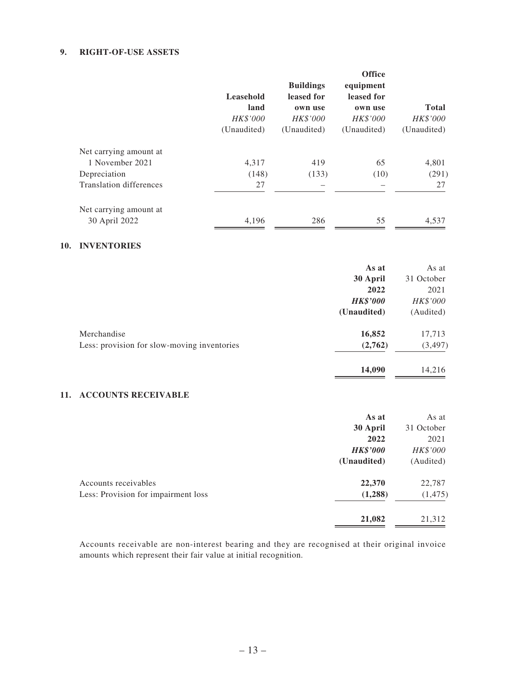### **9. RIGHT-OF-USE ASSETS**

|                         | Leasehold<br>land<br>HK\$'000<br>(Unaudited) | <b>Buildings</b><br>leased for<br>own use<br>HK\$'000<br>(Unaudited) | <b>Office</b><br>equipment<br>leased for<br>own use<br>HK\$'000<br>(Unaudited) | <b>Total</b><br>HK\$'000<br>(Unaudited) |
|-------------------------|----------------------------------------------|----------------------------------------------------------------------|--------------------------------------------------------------------------------|-----------------------------------------|
| Net carrying amount at  |                                              |                                                                      |                                                                                |                                         |
| 1 November 2021         | 4,317                                        | 419                                                                  | 65                                                                             | 4,801                                   |
| Depreciation            | (148)                                        | (133)                                                                | (10)                                                                           | (291)                                   |
| Translation differences | 27                                           |                                                                      |                                                                                | 27                                      |
| Net carrying amount at  |                                              |                                                                      |                                                                                |                                         |
| 30 April 2022           | 4,196                                        | 286                                                                  | 55                                                                             | 4,537                                   |

### **10. INVENTORIES**

|                                             | As at           | As at      |
|---------------------------------------------|-----------------|------------|
|                                             | 30 April        | 31 October |
|                                             | 2022            | 2021       |
|                                             | <b>HK\$'000</b> | HK\$'000   |
|                                             | (Unaudited)     | (Audited)  |
| Merchandise                                 | 16,852          | 17,713     |
| Less: provision for slow-moving inventories | (2,762)         | (3, 497)   |
|                                             | 14,090          | 14,216     |

### **11. ACCOUNTS RECEIVABLE**

| As at           | As at      |
|-----------------|------------|
| 30 April        | 31 October |
| 2022            | 2021       |
| <b>HK\$'000</b> | HK\$'000   |
| (Unaudited)     | (Audited)  |
| 22,370          | 22,787     |
| (1,288)         | (1, 475)   |
| 21,082          | 21,312     |
|                 |            |

Accounts receivable are non-interest bearing and they are recognised at their original invoice amounts which represent their fair value at initial recognition.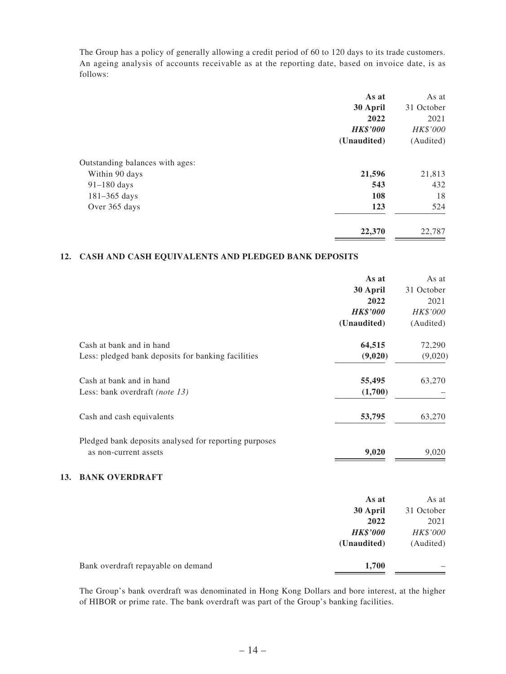The Group has a policy of generally allowing a credit period of 60 to 120 days to its trade customers. An ageing analysis of accounts receivable as at the reporting date, based on invoice date, is as follows:

|                                 | As at           | As at      |
|---------------------------------|-----------------|------------|
|                                 | 30 April        | 31 October |
|                                 | 2022            | 2021       |
|                                 | <b>HK\$'000</b> | HK\$'000   |
|                                 | (Unaudited)     | (Audited)  |
| Outstanding balances with ages: |                 |            |
| Within 90 days                  | 21,596          | 21,813     |
| $91-180$ days                   | 543             | 432        |
| $181 - 365$ days                | 108             | 18         |
| Over 365 days                   | 123             | 524        |
|                                 | 22,370          | 22,787     |

#### **12. CASH AND CASH EQUIVALENTS AND PLEDGED BANK DEPOSITS**

**13.** 

|                                                       | As at           | As at      |
|-------------------------------------------------------|-----------------|------------|
|                                                       | 30 April        | 31 October |
|                                                       | 2022            | 2021       |
|                                                       | <b>HK\$'000</b> | HK\$'000   |
|                                                       | (Unaudited)     | (Audited)  |
| Cash at bank and in hand                              | 64,515          | 72,290     |
| Less: pledged bank deposits for banking facilities    | (9,020)         | (9,020)    |
| Cash at bank and in hand                              | 55,495          | 63,270     |
| Less: bank overdraft (note 13)                        | (1,700)         |            |
| Cash and cash equivalents                             | 53,795          | 63,270     |
| Pledged bank deposits analysed for reporting purposes |                 |            |
| as non-current assets                                 | 9,020           | 9,020      |
| <b>BANK OVERDRAFT</b>                                 |                 |            |
|                                                       | As at           | As at      |
|                                                       | 30 April        | 31 October |
|                                                       | 2022            | 2021       |
|                                                       | <b>HK\$'000</b> | HK\$'000   |
|                                                       | (Unaudited)     | (Audited)  |
| Bank overdraft repayable on demand                    | 1,700           |            |

The Group's bank overdraft was denominated in Hong Kong Dollars and bore interest, at the higher of HIBOR or prime rate. The bank overdraft was part of the Group's banking facilities.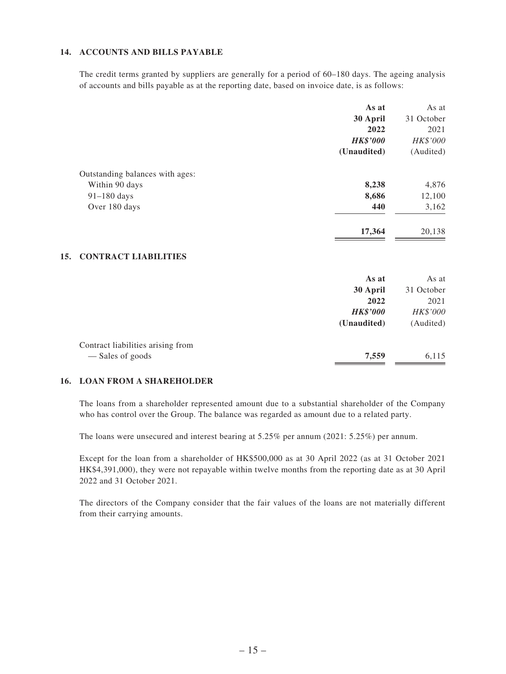### **14. ACCOUNTS AND BILLS PAYABLE**

The credit terms granted by suppliers are generally for a period of 60–180 days. The ageing analysis of accounts and bills payable as at the reporting date, based on invoice date, is as follows:

|                                 | As at           | As at      |
|---------------------------------|-----------------|------------|
|                                 | 30 April        | 31 October |
|                                 | 2022            | 2021       |
|                                 | <b>HK\$'000</b> | HK\$'000   |
|                                 | (Unaudited)     | (Audited)  |
| Outstanding balances with ages: |                 |            |
| Within 90 days                  | 8,238           | 4,876      |
| $91-180$ days                   | 8,686           | 12,100     |
| Over 180 days                   | 440             | 3,162      |
|                                 | 17,364          | 20,138     |

|                                   | As at           | As at      |
|-----------------------------------|-----------------|------------|
|                                   | 30 April        | 31 October |
|                                   | 2022            | 2021       |
|                                   | <b>HK\$'000</b> | HK\$'000   |
|                                   | (Unaudited)     | (Audited)  |
| Contract liabilities arising from |                 |            |
| — Sales of goods                  | 7,559           | 6,115      |

#### **16. LOAN FROM A SHAREHOLDER**

The loans from a shareholder represented amount due to a substantial shareholder of the Company who has control over the Group. The balance was regarded as amount due to a related party.

The loans were unsecured and interest bearing at 5.25% per annum (2021: 5.25%) per annum.

Except for the loan from a shareholder of HK\$500,000 as at 30 April 2022 (as at 31 October 2021 HK\$4,391,000), they were not repayable within twelve months from the reporting date as at 30 April 2022 and 31 October 2021.

The directors of the Company consider that the fair values of the loans are not materially different from their carrying amounts.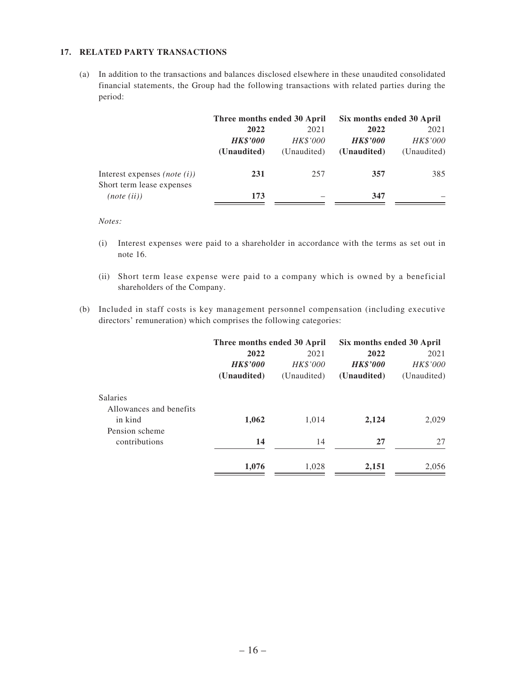### **17. RELATED PARTY TRANSACTIONS**

(a) In addition to the transactions and balances disclosed elsewhere in these unaudited consolidated financial statements, the Group had the following transactions with related parties during the period:

|                                     | Three months ended 30 April |                 | Six months ended 30 April |             |
|-------------------------------------|-----------------------------|-----------------|---------------------------|-------------|
|                                     | 2022<br>2021                |                 | 2022                      | 2021        |
|                                     | <b>HK\$'000</b>             | <b>HK\$'000</b> | <b>HK\$'000</b>           | HK\$'000    |
|                                     | (Unaudited)                 | (Unaudited)     | (Unaudited)               | (Unaudited) |
| Interest expenses <i>(note (i))</i> | 231                         | 257             | 357                       | 385         |
| Short term lease expenses           |                             |                 |                           |             |
| (note (ii))                         | 173                         |                 | 347                       |             |

*Notes:*

- (i) Interest expenses were paid to a shareholder in accordance with the terms as set out in note 16.
- (ii) Short term lease expense were paid to a company which is owned by a beneficial shareholders of the Company.
- (b) Included in staff costs is key management personnel compensation (including executive directors' remuneration) which comprises the following categories:

|                 | Three months ended 30 April |                 | Six months ended 30 April |
|-----------------|-----------------------------|-----------------|---------------------------|
| 2022            | 2021                        | 2022            | 2021                      |
| <b>HK\$'000</b> | <b>HK\$'000</b>             | <b>HK\$'000</b> | HK\$'000                  |
| (Unaudited)     | (Unaudited)                 | (Unaudited)     | (Unaudited)               |
|                 |                             |                 |                           |
|                 |                             |                 |                           |
| 1,062           | 1,014                       | 2,124           | 2,029                     |
|                 |                             |                 |                           |
| 14              | 14                          | 27              | 27                        |
|                 |                             |                 | 2,056                     |
|                 | 1,076                       | 1,028           | 2,151                     |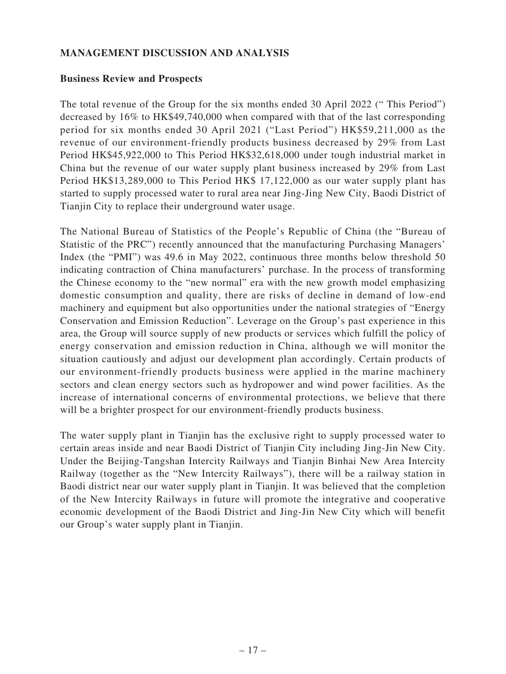## **MANAGEMENT DISCUSSION AND ANALYSIS**

### **Business Review and Prospects**

The total revenue of the Group for the six months ended 30 April 2022 (" This Period") decreased by 16% to HK\$49,740,000 when compared with that of the last corresponding period for six months ended 30 April 2021 ("Last Period") HK\$59,211,000 as the revenue of our environment-friendly products business decreased by 29% from Last Period HK\$45,922,000 to This Period HK\$32,618,000 under tough industrial market in China but the revenue of our water supply plant business increased by 29% from Last Period HK\$13,289,000 to This Period HK\$ 17,122,000 as our water supply plant has started to supply processed water to rural area near Jing-Jing New City, Baodi District of Tianjin City to replace their underground water usage.

The National Bureau of Statistics of the People's Republic of China (the "Bureau of Statistic of the PRC") recently announced that the manufacturing Purchasing Managers' Index (the "PMI") was 49.6 in May 2022, continuous three months below threshold 50 indicating contraction of China manufacturers' purchase. In the process of transforming the Chinese economy to the "new normal" era with the new growth model emphasizing domestic consumption and quality, there are risks of decline in demand of low-end machinery and equipment but also opportunities under the national strategies of "Energy Conservation and Emission Reduction". Leverage on the Group's past experience in this area, the Group will source supply of new products or services which fulfill the policy of energy conservation and emission reduction in China, although we will monitor the situation cautiously and adjust our development plan accordingly. Certain products of our environment-friendly products business were applied in the marine machinery sectors and clean energy sectors such as hydropower and wind power facilities. As the increase of international concerns of environmental protections, we believe that there will be a brighter prospect for our environment-friendly products business.

The water supply plant in Tianjin has the exclusive right to supply processed water to certain areas inside and near Baodi District of Tianjin City including Jing-Jin New City. Under the Beijing-Tangshan Intercity Railways and Tianjin Binhai New Area Intercity Railway (together as the "New Intercity Railways"), there will be a railway station in Baodi district near our water supply plant in Tianjin. It was believed that the completion of the New Intercity Railways in future will promote the integrative and cooperative economic development of the Baodi District and Jing-Jin New City which will benefit our Group's water supply plant in Tianjin.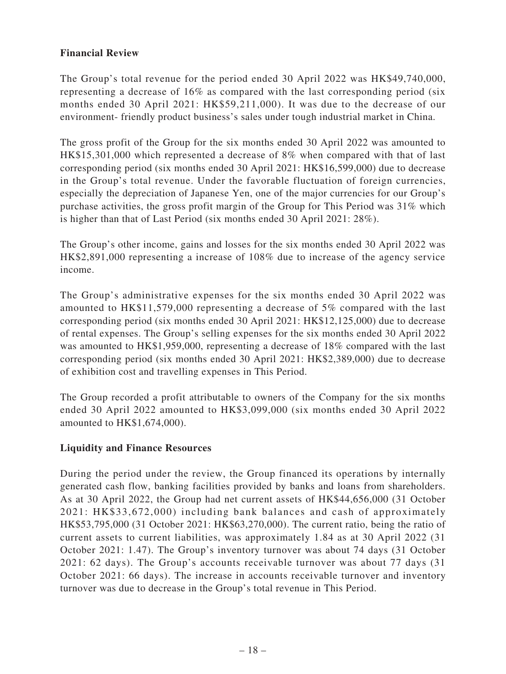## **Financial Review**

The Group's total revenue for the period ended 30 April 2022 was HK\$49,740,000, representing a decrease of 16% as compared with the last corresponding period (six months ended 30 April 2021: HK\$59,211,000). It was due to the decrease of our environment- friendly product business's sales under tough industrial market in China.

The gross profit of the Group for the six months ended 30 April 2022 was amounted to HK\$15,301,000 which represented a decrease of 8% when compared with that of last corresponding period (six months ended 30 April 2021: HK\$16,599,000) due to decrease in the Group's total revenue. Under the favorable fluctuation of foreign currencies, especially the depreciation of Japanese Yen, one of the major currencies for our Group's purchase activities, the gross profit margin of the Group for This Period was 31% which is higher than that of Last Period (six months ended 30 April 2021: 28%).

The Group's other income, gains and losses for the six months ended 30 April 2022 was HK\$2,891,000 representing a increase of 108% due to increase of the agency service income.

The Group's administrative expenses for the six months ended 30 April 2022 was amounted to HK\$11,579,000 representing a decrease of 5% compared with the last corresponding period (six months ended 30 April 2021: HK\$12,125,000) due to decrease of rental expenses. The Group's selling expenses for the six months ended 30 April 2022 was amounted to HK\$1,959,000, representing a decrease of 18% compared with the last corresponding period (six months ended 30 April 2021: HK\$2,389,000) due to decrease of exhibition cost and travelling expenses in This Period.

The Group recorded a profit attributable to owners of the Company for the six months ended 30 April 2022 amounted to HK\$3,099,000 (six months ended 30 April 2022 amounted to HK\$1,674,000).

## **Liquidity and Finance Resources**

During the period under the review, the Group financed its operations by internally generated cash flow, banking facilities provided by banks and loans from shareholders. As at 30 April 2022, the Group had net current assets of HK\$44,656,000 (31 October 2021: HK\$33,672,000) including bank balances and cash of approximately HK\$53,795,000 (31 October 2021: HK\$63,270,000). The current ratio, being the ratio of current assets to current liabilities, was approximately 1.84 as at 30 April 2022 (31 October 2021: 1.47). The Group's inventory turnover was about 74 days (31 October 2021: 62 days). The Group's accounts receivable turnover was about 77 days (31 October 2021: 66 days). The increase in accounts receivable turnover and inventory turnover was due to decrease in the Group's total revenue in This Period.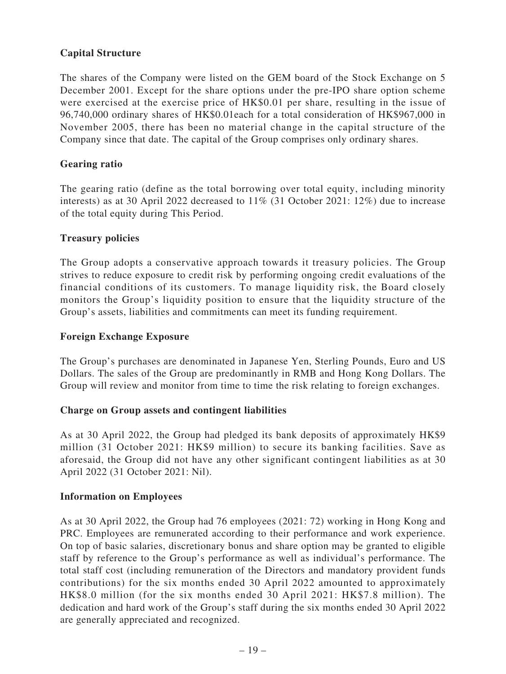# **Capital Structure**

The shares of the Company were listed on the GEM board of the Stock Exchange on 5 December 2001. Except for the share options under the pre-IPO share option scheme were exercised at the exercise price of HK\$0.01 per share, resulting in the issue of 96,740,000 ordinary shares of HK\$0.01each for a total consideration of HK\$967,000 in November 2005, there has been no material change in the capital structure of the Company since that date. The capital of the Group comprises only ordinary shares.

## **Gearing ratio**

The gearing ratio (define as the total borrowing over total equity, including minority interests) as at 30 April 2022 decreased to 11% (31 October 2021: 12%) due to increase of the total equity during This Period.

### **Treasury policies**

The Group adopts a conservative approach towards it treasury policies. The Group strives to reduce exposure to credit risk by performing ongoing credit evaluations of the financial conditions of its customers. To manage liquidity risk, the Board closely monitors the Group's liquidity position to ensure that the liquidity structure of the Group's assets, liabilities and commitments can meet its funding requirement.

### **Foreign Exchange Exposure**

The Group's purchases are denominated in Japanese Yen, Sterling Pounds, Euro and US Dollars. The sales of the Group are predominantly in RMB and Hong Kong Dollars. The Group will review and monitor from time to time the risk relating to foreign exchanges.

### **Charge on Group assets and contingent liabilities**

As at 30 April 2022, the Group had pledged its bank deposits of approximately HK\$9 million (31 October 2021: HK\$9 million) to secure its banking facilities. Save as aforesaid, the Group did not have any other significant contingent liabilities as at 30 April 2022 (31 October 2021: Nil).

### **Information on Employees**

As at 30 April 2022, the Group had 76 employees (2021: 72) working in Hong Kong and PRC. Employees are remunerated according to their performance and work experience. On top of basic salaries, discretionary bonus and share option may be granted to eligible staff by reference to the Group's performance as well as individual's performance. The total staff cost (including remuneration of the Directors and mandatory provident funds contributions) for the six months ended 30 April 2022 amounted to approximately HK\$8.0 million (for the six months ended 30 April 2021: HK\$7.8 million). The dedication and hard work of the Group's staff during the six months ended 30 April 2022 are generally appreciated and recognized.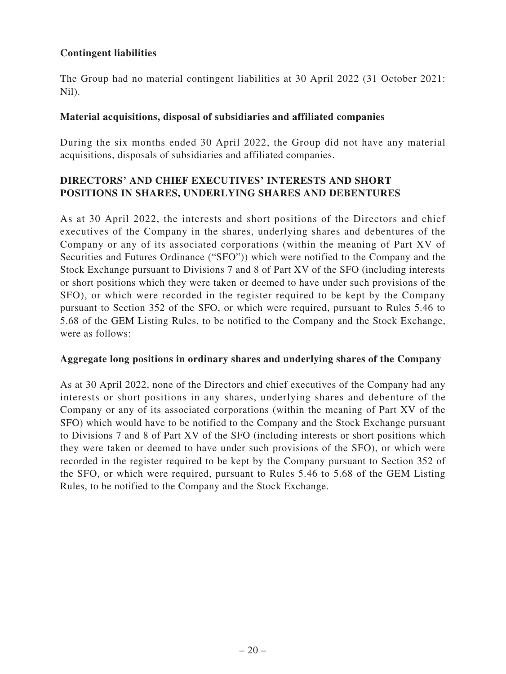# **Contingent liabilities**

The Group had no material contingent liabilities at 30 April 2022 (31 October 2021: Nil).

## **Material acquisitions, disposal of subsidiaries and affiliated companies**

During the six months ended 30 April 2022, the Group did not have any material acquisitions, disposals of subsidiaries and affiliated companies.

# **DIRECTORS' AND CHIEF EXECUTIVES' INTERESTS AND SHORT POSITIONS IN SHARES, UNDERLYING SHARES AND DEBENTURES**

As at 30 April 2022, the interests and short positions of the Directors and chief executives of the Company in the shares, underlying shares and debentures of the Company or any of its associated corporations (within the meaning of Part XV of Securities and Futures Ordinance ("SFO")) which were notified to the Company and the Stock Exchange pursuant to Divisions 7 and 8 of Part XV of the SFO (including interests or short positions which they were taken or deemed to have under such provisions of the SFO), or which were recorded in the register required to be kept by the Company pursuant to Section 352 of the SFO, or which were required, pursuant to Rules 5.46 to 5.68 of the GEM Listing Rules, to be notified to the Company and the Stock Exchange, were as follows:

## **Aggregate long positions in ordinary shares and underlying shares of the Company**

As at 30 April 2022, none of the Directors and chief executives of the Company had any interests or short positions in any shares, underlying shares and debenture of the Company or any of its associated corporations (within the meaning of Part XV of the SFO) which would have to be notified to the Company and the Stock Exchange pursuant to Divisions 7 and 8 of Part XV of the SFO (including interests or short positions which they were taken or deemed to have under such provisions of the SFO), or which were recorded in the register required to be kept by the Company pursuant to Section 352 of the SFO, or which were required, pursuant to Rules 5.46 to 5.68 of the GEM Listing Rules, to be notified to the Company and the Stock Exchange.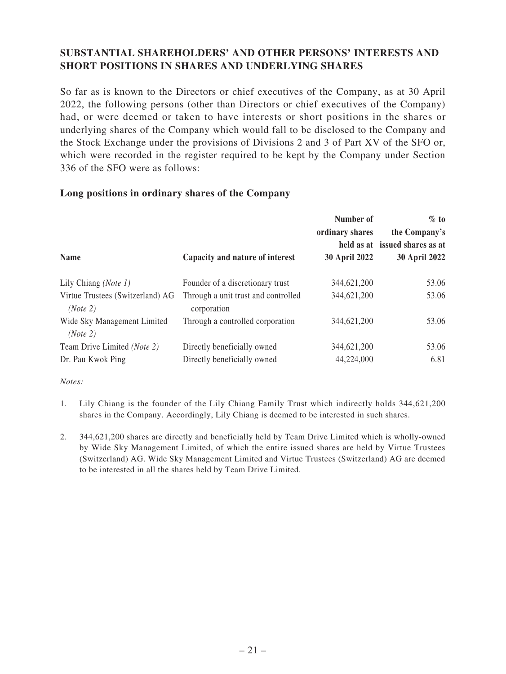# **SUBSTANTIAL SHAREHOLDERS' AND OTHER PERSONS' INTERESTS AND SHORT POSITIONS IN SHARES AND UNDERLYING SHARES**

So far as is known to the Directors or chief executives of the Company, as at 30 April 2022, the following persons (other than Directors or chief executives of the Company) had, or were deemed or taken to have interests or short positions in the shares or underlying shares of the Company which would fall to be disclosed to the Company and the Stock Exchange under the provisions of Divisions 2 and 3 of Part XV of the SFO or, which were recorded in the register required to be kept by the Company under Section 336 of the SFO were as follows:

### **Long positions in ordinary shares of the Company**

|                                              |                                                    | Number of<br>ordinary shares | $\%$ to<br>the Company's<br>held as at issued shares as at |
|----------------------------------------------|----------------------------------------------------|------------------------------|------------------------------------------------------------|
| <b>Name</b>                                  | Capacity and nature of interest                    | <b>30 April 2022</b>         | <b>30 April 2022</b>                                       |
| Lily Chiang (Note 1)                         | Founder of a discretionary trust                   | 344,621,200                  | 53.06                                                      |
| Virtue Trustees (Switzerland) AG<br>(Note 2) | Through a unit trust and controlled<br>corporation | 344,621,200                  | 53.06                                                      |
| Wide Sky Management Limited<br>(Note 2)      | Through a controlled corporation                   | 344,621,200                  | 53.06                                                      |
| Team Drive Limited (Note 2)                  | Directly beneficially owned                        | 344,621,200                  | 53.06                                                      |
| Dr. Pau Kwok Ping                            | Directly beneficially owned                        | 44,224,000                   | 6.81                                                       |

*Notes:*

- 1. Lily Chiang is the founder of the Lily Chiang Family Trust which indirectly holds 344,621,200 shares in the Company. Accordingly, Lily Chiang is deemed to be interested in such shares.
- 2. 344,621,200 shares are directly and beneficially held by Team Drive Limited which is wholly-owned by Wide Sky Management Limited, of which the entire issued shares are held by Virtue Trustees (Switzerland) AG. Wide Sky Management Limited and Virtue Trustees (Switzerland) AG are deemed to be interested in all the shares held by Team Drive Limited.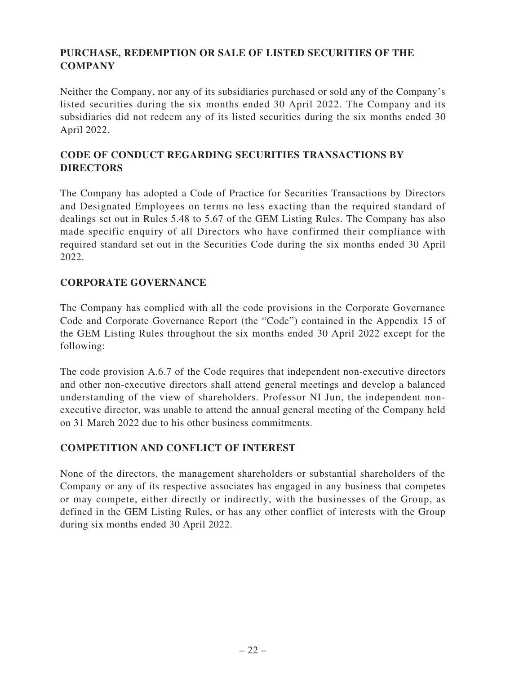# **PURCHASE, REDEMPTION OR SALE OF LISTED SECURITIES OF THE COMPANY**

Neither the Company, nor any of its subsidiaries purchased or sold any of the Company's listed securities during the six months ended 30 April 2022. The Company and its subsidiaries did not redeem any of its listed securities during the six months ended 30 April 2022.

# **CODE OF CONDUCT REGARDING SECURITIES TRANSACTIONS BY DIRECTORS**

The Company has adopted a Code of Practice for Securities Transactions by Directors and Designated Employees on terms no less exacting than the required standard of dealings set out in Rules 5.48 to 5.67 of the GEM Listing Rules. The Company has also made specific enquiry of all Directors who have confirmed their compliance with required standard set out in the Securities Code during the six months ended 30 April 2022.

# **CORPORATE GOVERNANCE**

The Company has complied with all the code provisions in the Corporate Governance Code and Corporate Governance Report (the "Code") contained in the Appendix 15 of the GEM Listing Rules throughout the six months ended 30 April 2022 except for the following:

The code provision A.6.7 of the Code requires that independent non-executive directors and other non-executive directors shall attend general meetings and develop a balanced understanding of the view of shareholders. Professor NI Jun, the independent nonexecutive director, was unable to attend the annual general meeting of the Company held on 31 March 2022 due to his other business commitments.

# **COMPETITION AND CONFLICT OF INTEREST**

None of the directors, the management shareholders or substantial shareholders of the Company or any of its respective associates has engaged in any business that competes or may compete, either directly or indirectly, with the businesses of the Group, as defined in the GEM Listing Rules, or has any other conflict of interests with the Group during six months ended 30 April 2022.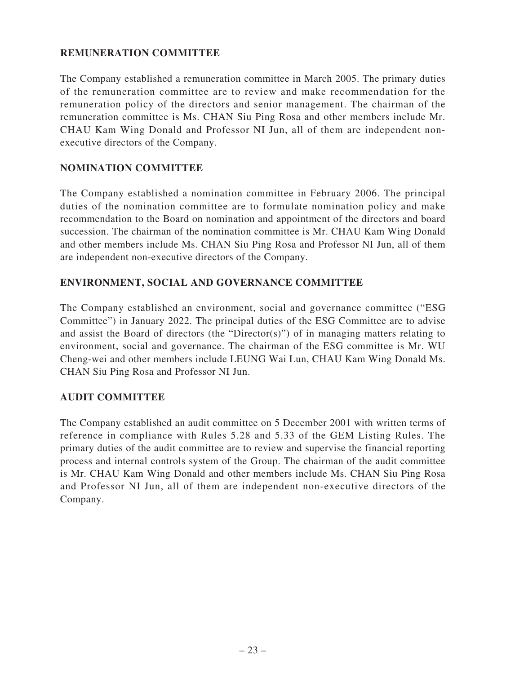## **REMUNERATION COMMITTEE**

The Company established a remuneration committee in March 2005. The primary duties of the remuneration committee are to review and make recommendation for the remuneration policy of the directors and senior management. The chairman of the remuneration committee is Ms. CHAN Siu Ping Rosa and other members include Mr. CHAU Kam Wing Donald and Professor NI Jun, all of them are independent nonexecutive directors of the Company.

## **NOMINATION COMMITTEE**

The Company established a nomination committee in February 2006. The principal duties of the nomination committee are to formulate nomination policy and make recommendation to the Board on nomination and appointment of the directors and board succession. The chairman of the nomination committee is Mr. CHAU Kam Wing Donald and other members include Ms. CHAN Siu Ping Rosa and Professor NI Jun, all of them are independent non-executive directors of the Company.

## **ENVIRONMENT, SOCIAL AND GOVERNANCE COMMITTEE**

The Company established an environment, social and governance committee ("ESG Committee") in January 2022. The principal duties of the ESG Committee are to advise and assist the Board of directors (the "Director(s)") of in managing matters relating to environment, social and governance. The chairman of the ESG committee is Mr. WU Cheng-wei and other members include LEUNG Wai Lun, CHAU Kam Wing Donald Ms. CHAN Siu Ping Rosa and Professor NI Jun.

## **AUDIT COMMITTEE**

The Company established an audit committee on 5 December 2001 with written terms of reference in compliance with Rules 5.28 and 5.33 of the GEM Listing Rules. The primary duties of the audit committee are to review and supervise the financial reporting process and internal controls system of the Group. The chairman of the audit committee is Mr. CHAU Kam Wing Donald and other members include Ms. CHAN Siu Ping Rosa and Professor NI Jun, all of them are independent non-executive directors of the Company.